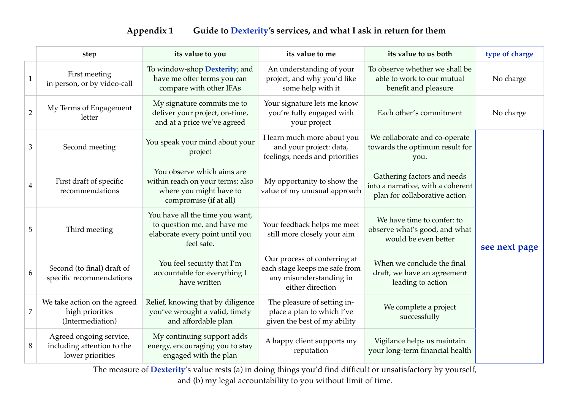## **Appendix 1 Guide to Dexterity's services, and what I ask in return for them**

|                | step                                                                      | its value to you                                                                                                    | its value to me                                                                                              | its value to us both                                                                              | type of charge |
|----------------|---------------------------------------------------------------------------|---------------------------------------------------------------------------------------------------------------------|--------------------------------------------------------------------------------------------------------------|---------------------------------------------------------------------------------------------------|----------------|
| $\mathbf{1}$   | First meeting<br>in person, or by video-call                              | To window-shop <b>Dexterity</b> ; and<br>have me offer terms you can<br>compare with other IFAs                     | An understanding of your<br>project, and why you'd like<br>some help with it                                 | To observe whether we shall be<br>able to work to our mutual<br>benefit and pleasure              | No charge      |
| $\overline{2}$ | My Terms of Engagement<br>letter                                          | My signature commits me to<br>deliver your project, on-time,<br>and at a price we've agreed                         | Your signature lets me know<br>you're fully engaged with<br>your project                                     | Each other's commitment                                                                           | No charge      |
| 3              | Second meeting                                                            | You speak your mind about your<br>project                                                                           | I learn much more about you<br>and your project: data,<br>feelings, needs and priorities                     | We collaborate and co-operate<br>towards the optimum result for<br>you.                           |                |
| $\overline{4}$ | First draft of specific<br>recommendations                                | You observe which aims are<br>within reach on your terms; also<br>where you might have to<br>compromise (if at all) | My opportunity to show the<br>value of my unusual approach                                                   | Gathering factors and needs<br>into a narrative, with a coherent<br>plan for collaborative action |                |
| $\overline{5}$ | Third meeting                                                             | You have all the time you want,<br>to question me, and have me<br>elaborate every point until you<br>feel safe.     | Your feedback helps me meet<br>still more closely your aim                                                   | We have time to confer: to<br>observe what's good, and what<br>would be even better               | see next page  |
| 6              | Second (to final) draft of<br>specific recommendations                    | You feel security that I'm<br>accountable for everything I<br>have written                                          | Our process of conferring at<br>each stage keeps me safe from<br>any misunderstanding in<br>either direction | When we conclude the final<br>draft, we have an agreement<br>leading to action                    |                |
| 7              | We take action on the agreed<br>high priorities<br>(Intermediation)       | Relief, knowing that by diligence<br>you've wrought a valid, timely<br>and affordable plan                          | The pleasure of setting in-<br>place a plan to which I've<br>given the best of my ability                    | We complete a project<br>successfully                                                             |                |
| 8              | Agreed ongoing service,<br>including attention to the<br>lower priorities | My continuing support adds<br>energy, encouraging you to stay<br>engaged with the plan                              | A happy client supports my<br>reputation                                                                     | Vigilance helps us maintain<br>your long-term financial health                                    |                |

The measure of **Dexterity**'s value rests (a) in doing things you'd find difficult or unsatisfactory by yourself, and (b) my legal accountability to you without limit of time.